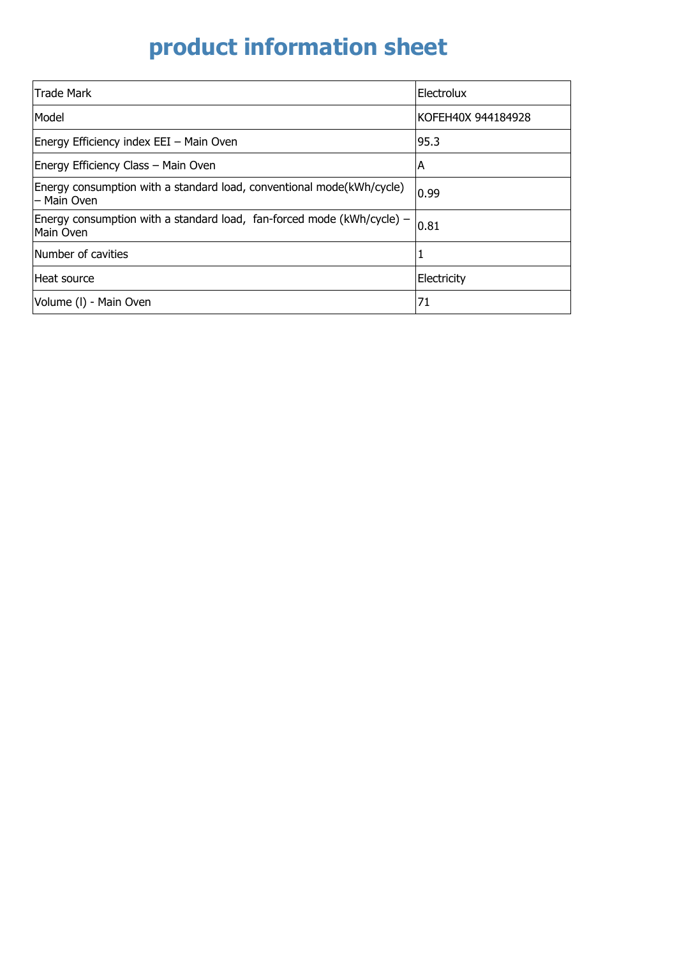## **product information sheet**

| <b>Trade Mark</b>                                                                       | Electrolux         |
|-----------------------------------------------------------------------------------------|--------------------|
| Model                                                                                   | KOFEH40X 944184928 |
| Energy Efficiency index EEI - Main Oven                                                 | 95.3               |
| Energy Efficiency Class - Main Oven                                                     | ΙA                 |
| Energy consumption with a standard load, conventional mode(kWh/cycle)<br>- Main Oven    | 0.99               |
| Energy consumption with a standard load, fan-forced mode ( $kWh/cycle$ ) –<br>Main Oven | 0.81               |
| Number of cavities                                                                      | 1                  |
| Heat source                                                                             | Electricity        |
| Volume (I) - Main Oven                                                                  | 71                 |